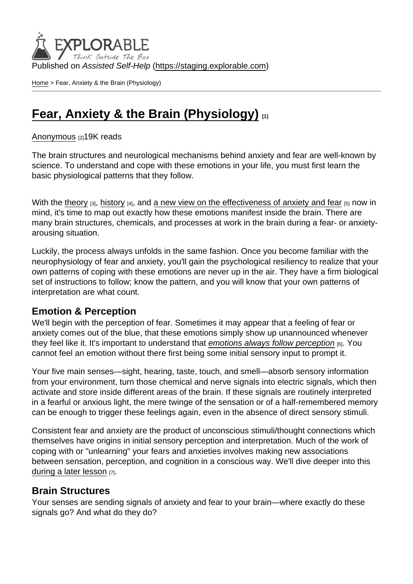Published on Assisted Self-Help [\(https://staging.explorable.com](https://staging.explorable.com))

[Home](https://staging.explorable.com/en) > Fear, Anxiety & the Brain (Physiology)

# [Fear, Anxiety & the Brain \(Physiology\)](https://staging.explorable.com/en/e/fear-anxiety-the-brain-physiology)  $_{11}$

#### [Anonymous](https://staging.explorable.com/en/users/grharriman) [2]19K reads

The brain structures and neurological mechanisms behind anxiety and fear are well-known by science. To understand and cope with these emotions in your life, you must first learn the basic physiological patterns that they follow.

With the [theory](https://explorable.com/theories-of-emotion)  $[3]$ , [history](https://explorable.com/the-history-of-anxiety-fear)  $[4]$ , and [a new view on the effectiveness of anxiety and fear](https://explorable.com/are-anxiety-fear-bad-things)  $[5]$  now in mind, it's time to map out exactly how these emotions manifest inside the brain. There are many brain structures, chemicals, and processes at work in the brain during a fear- or anxietyarousing situation.

Luckily, the process always unfolds in the same fashion. Once you become familiar with the neurophysiology of fear and anxiety, you'll gain the psychological resiliency to realize that your own patterns of coping with these emotions are never up in the air. They have a firm biological set of instructions to follow; know the pattern, and you will know that your own patterns of interpretation are what count.

### Emotion & Perception

We'll begin with the perception of fear. Sometimes it may appear that a feeling of fear or anxiety comes out of the blue, that these emotions simply show up unannounced whenever they feel like it. It's important to understand that [emotions always follow perception](http://www.medscape.com/viewarticle/747429) [6]. You cannot feel an emotion without there first being some initial sensory input to prompt it.

Your five main senses—sight, hearing, taste, touch, and smell—absorb sensory information from your environment, turn those chemical and nerve signals into electric signals, which then activate and store inside different areas of the brain. If these signals are routinely interpreted in a fearful or anxious light, the mere twinge of the sensation or of a half-remembered memory can be enough to trigger these feelings again, even in the absence of direct sensory stimuli.

Consistent fear and anxiety are the product of unconscious stimuli/thought connections which themselves have origins in initial sensory perception and interpretation. Much of the work of coping with or "unlearning" your fears and anxieties involves making new associations between sensation, perception, and cognition in a conscious way. We'll dive deeper into this [during a later lesson](https://explorable.com/cognitive-behavioral-therapy-cbt) [7].

### Brain Structures

Your senses are sending signals of anxiety and fear to your brain—where exactly do these signals go? And what do they do?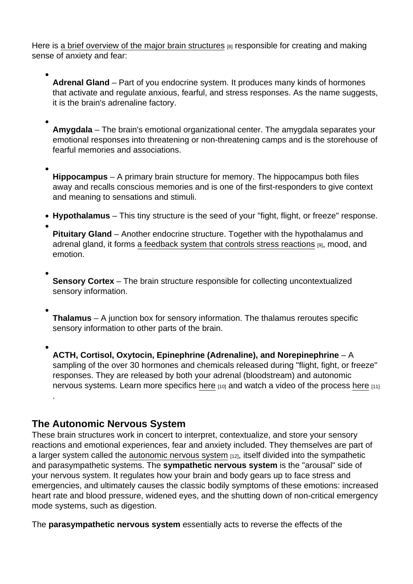Here is [a brief overview of the major brain structures](http://science.howstuffworks.com/life/inside-the-mind/emotions/fear.htm) [8] responsible for creating and making sense of anxiety and fear:

Adrenal Gland – Part of you endocrine system. It produces many kinds of hormones that activate and regulate anxious, fearful, and stress responses. As the name suggests, it is the brain's adrenaline factory.

Amygdala – The brain's emotional organizational center. The amygdala separates your emotional responses into threatening or non-threatening camps and is the storehouse of fearful memories and associations.

Hippocampus – A primary brain structure for memory. The hippocampus both files away and recalls conscious memories and is one of the first-responders to give context and meaning to sensations and stimuli.

 $\bullet$  Hypothalamus – This tiny structure is the seed of your "fight, flight, or freeze" response.

Pituitary Gland – Another endocrine structure. Together with the hypothalamus and adrenal gland, it forms [a feedback system that controls stress reactions](https://en.wikipedia.org/wiki/Hypothalamic–pituitary–adrenal_axis) [9], mood, and emotion.

Sensory Cortex – The brain structure responsible for collecting uncontextualized sensory information.

Thalamus – A junction box for sensory information. The thalamus reroutes specific sensory information to other parts of the brain.

ACTH, Cortisol, Oxytocin, Epinephrine (Adrenaline), and Norepinephrine –  $- A$ sampling of the over 30 hormones and chemicals released during "flight, fight, or freeze" responses. They are released by both your adrenal (bloodstream) and autonomic nervous systems. Learn more specifics [here](http://science.howstuffworks.com/life/inside-the-mind/emotions/fear2.htm) [10] and watch a video of the process [here](https://www.youtube.com/watch?v=gmwiJ6ghLIM) [11] .

## The Autonomic Nervous System

These brain structures work in concert to interpret, contextualize, and store your sensory reactions and emotional experiences, fear and anxiety included. They themselves are part of a larger system called the [autonomic nervous system](http://www.everydayhealth.com/sexual-health/dr-laura-berman-autonomic-nervous-system.aspx)  $[12]$ , itself divided into the sympathetic and parasympathetic systems. The sympathetic nervous system is the "arousal" side of your nervous system. It regulates how your brain and body gears up to face stress and emergencies, and ultimately causes the classic bodily symptoms of these emotions: increased heart rate and blood pressure, widened eyes, and the shutting down of non-critical emergency mode systems, such as digestion.

The parasympathetic nervous system essentially acts to reverse the effects of the